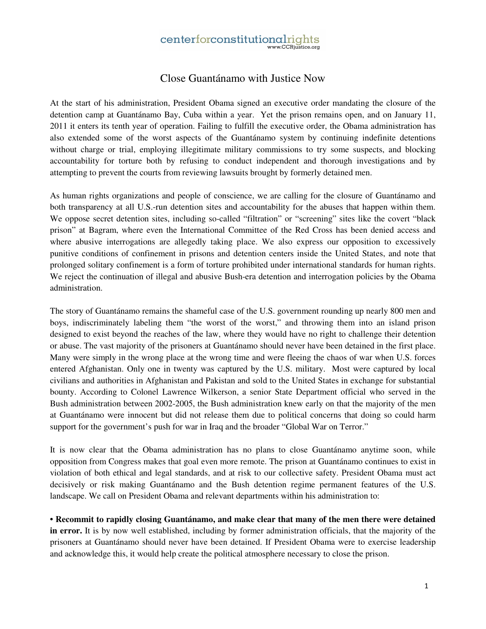## centerforconstitutionalrights

## Close Guantánamo with Justice Now

At the start of his administration, President Obama signed an executive order mandating the closure of the detention camp at Guantánamo Bay, Cuba within a year. Yet the prison remains open, and on January 11, 2011 it enters its tenth year of operation. Failing to fulfill the executive order, the Obama administration has also extended some of the worst aspects of the Guantánamo system by continuing indefinite detentions without charge or trial, employing illegitimate military commissions to try some suspects, and blocking accountability for torture both by refusing to conduct independent and thorough investigations and by attempting to prevent the courts from reviewing lawsuits brought by formerly detained men.

As human rights organizations and people of conscience, we are calling for the closure of Guantánamo and both transparency at all U.S.-run detention sites and accountability for the abuses that happen within them. We oppose secret detention sites, including so-called "filtration" or "screening" sites like the covert "black prison" at Bagram, where even the International Committee of the Red Cross has been denied access and where abusive interrogations are allegedly taking place. We also express our opposition to excessively punitive conditions of confinement in prisons and detention centers inside the United States, and note that prolonged solitary confinement is a form of torture prohibited under international standards for human rights. We reject the continuation of illegal and abusive Bush-era detention and interrogation policies by the Obama administration.

The story of Guantánamo remains the shameful case of the U.S. government rounding up nearly 800 men and boys, indiscriminately labeling them "the worst of the worst," and throwing them into an island prison designed to exist beyond the reaches of the law, where they would have no right to challenge their detention or abuse. The vast majority of the prisoners at Guantánamo should never have been detained in the first place. Many were simply in the wrong place at the wrong time and were fleeing the chaos of war when U.S. forces entered Afghanistan. Only one in twenty was captured by the U.S. military. Most were captured by local civilians and authorities in Afghanistan and Pakistan and sold to the United States in exchange for substantial bounty. According to Colonel Lawrence Wilkerson, a senior State Department official who served in the Bush administration between 2002-2005, the Bush administration knew early on that the majority of the men at Guantánamo were innocent but did not release them due to political concerns that doing so could harm support for the government's push for war in Iraq and the broader "Global War on Terror."

It is now clear that the Obama administration has no plans to close Guantánamo anytime soon, while opposition from Congress makes that goal even more remote. The prison at Guantánamo continues to exist in violation of both ethical and legal standards, and at risk to our collective safety. President Obama must act decisively or risk making Guantánamo and the Bush detention regime permanent features of the U.S. landscape. We call on President Obama and relevant departments within his administration to:

**• Recommit to rapidly closing Guantánamo, and make clear that many of the men there were detained in error.** It is by now well established, including by former administration officials, that the majority of the prisoners at Guantánamo should never have been detained. If President Obama were to exercise leadership and acknowledge this, it would help create the political atmosphere necessary to close the prison.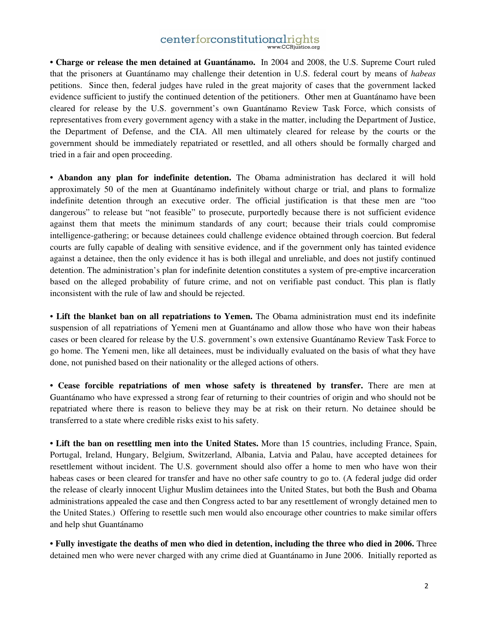## centerforconstitutionalrights

**• Charge or release the men detained at Guantánamo.** In 2004 and 2008, the U.S. Supreme Court ruled that the prisoners at Guantánamo may challenge their detention in U.S. federal court by means of *habeas* petitions. Since then, federal judges have ruled in the great majority of cases that the government lacked evidence sufficient to justify the continued detention of the petitioners. Other men at Guantánamo have been cleared for release by the U.S. government's own Guantánamo Review Task Force, which consists of representatives from every government agency with a stake in the matter, including the Department of Justice, the Department of Defense, and the CIA. All men ultimately cleared for release by the courts or the government should be immediately repatriated or resettled, and all others should be formally charged and tried in a fair and open proceeding.

**• Abandon any plan for indefinite detention.** The Obama administration has declared it will hold approximately 50 of the men at Guantánamo indefinitely without charge or trial, and plans to formalize indefinite detention through an executive order. The official justification is that these men are "too dangerous" to release but "not feasible" to prosecute, purportedly because there is not sufficient evidence against them that meets the minimum standards of any court; because their trials could compromise intelligence-gathering; or because detainees could challenge evidence obtained through coercion. But federal courts are fully capable of dealing with sensitive evidence, and if the government only has tainted evidence against a detainee, then the only evidence it has is both illegal and unreliable, and does not justify continued detention. The administration's plan for indefinite detention constitutes a system of pre-emptive incarceration based on the alleged probability of future crime, and not on verifiable past conduct. This plan is flatly inconsistent with the rule of law and should be rejected.

• **Lift the blanket ban on all repatriations to Yemen.** The Obama administration must end its indefinite suspension of all repatriations of Yemeni men at Guantánamo and allow those who have won their habeas cases or been cleared for release by the U.S. government's own extensive Guantánamo Review Task Force to go home. The Yemeni men, like all detainees, must be individually evaluated on the basis of what they have done, not punished based on their nationality or the alleged actions of others.

**• Cease forcible repatriations of men whose safety is threatened by transfer.** There are men at Guantánamo who have expressed a strong fear of returning to their countries of origin and who should not be repatriated where there is reason to believe they may be at risk on their return. No detainee should be transferred to a state where credible risks exist to his safety.

**• Lift the ban on resettling men into the United States.** More than 15 countries, including France, Spain, Portugal, Ireland, Hungary, Belgium, Switzerland, Albania, Latvia and Palau, have accepted detainees for resettlement without incident. The U.S. government should also offer a home to men who have won their habeas cases or been cleared for transfer and have no other safe country to go to. (A federal judge did order the release of clearly innocent Uighur Muslim detainees into the United States, but both the Bush and Obama administrations appealed the case and then Congress acted to bar any resettlement of wrongly detained men to the United States.) Offering to resettle such men would also encourage other countries to make similar offers and help shut Guantánamo

**• Fully investigate the deaths of men who died in detention, including the three who died in 2006.** Three detained men who were never charged with any crime died at Guantánamo in June 2006. Initially reported as